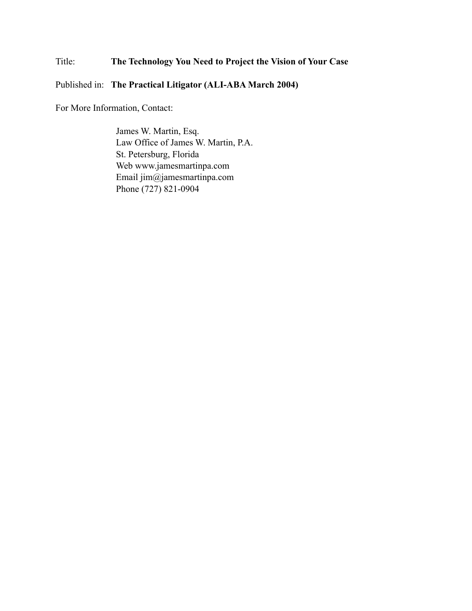# Title: **The Technology You Need to Project the Vision of Your Case**

## Published in: **The Practical Litigator (ALI-ABA March 2004)**

For More Information, Contact:

James W. Martin, Esq. Law Office of James W. Martin, P.A. St. Petersburg, Florida Web www.jamesmartinpa.com Email jim@jamesmartinpa.com Phone (727) 821-0904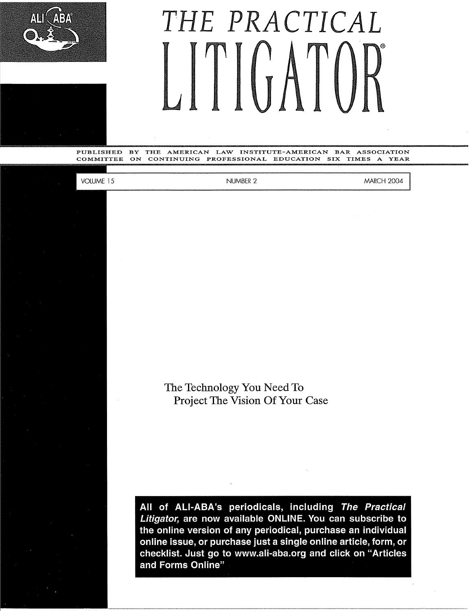



PUBLISHED BY THE AMERICAN LAW INSTITUTE-AMERICAN BAR ASSOCIATION COMMITTEE ON CONTINUING PROFESSIONAL EDUCATION SIX TIMES A YEAR

**VOLUME 15** 

NUMBER 2

MARCH 2004

The Technology You Need To Project The Vision Of Your Case

**All of ALI-ABA's periodicals, including The Practical Litigator, are now available ONLINE. You can subscribe to the online version of any periodical, purchase an individual online issue, or purchase just a single online article, form, or checklist. Just go to www.ali-aba.org and click on "Articles and Forms Online"**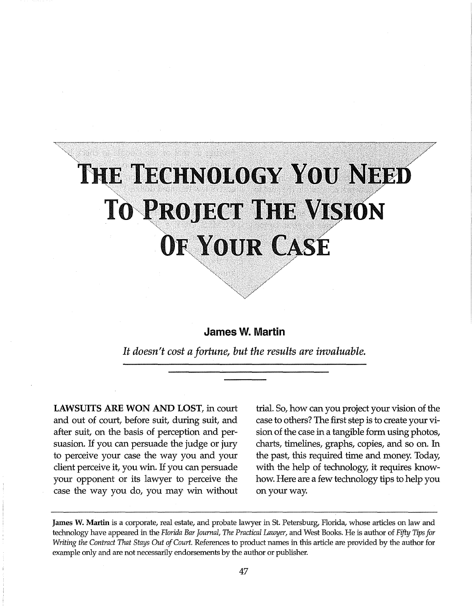# THE TECHNOLOGY YOU NEED **TO PROJECT THE VISION**<br>OF YOUR CASE

# **James W. Martin**

*It doesn't cost a fortune, but the results are invaluable.* 

**LAWSUITS ARE WON AND LOST,** in court and out of court, before suit, during suit, and after suit, on the basis of perception and persuasion. If you can persuade the judge or jury to perceive your case the way you and your client perceive it, you win. If you can persuade your opponent or its lawyer to perceive the case the way you do, you may win without

"<\_,'-"

trial. So, how can you project your vision of the case to others? The first step is to create your vision of the case in a tangible form using photos, charts, timelines, graphs, copies, and so on. In the past, this required time and money. Today, with the help of technology, it requires knowhow. Here are a few technology tips to help you on your way.

**James W. Martin** is a corporate, real estate, and probate lawyer in St. Petersburg, Florida, whose articles on law and technology have appeared in the *Florida Bar Journal, The Practical Lawyer,* and West Books. He is author of *Fifty Tips for Writing the Contract That Stays Out of Court.* References to product names in this article are provided by the author for example only and are not necessarily endorsements by the author or publisher.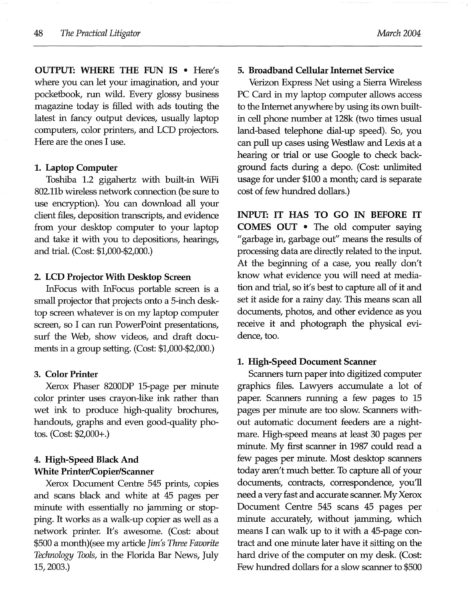**OUTPUT: WHERE THE FUN IS** • Here's where you can let your imagination, and your pocketbook, run wild. Every glossy business magazine today is filled with ads touting the latest in fancy output devices, usually laptop computers, color printers, and LCD projectors. Here are the ones I use.

#### **1. Laptop Computer**

Toshiba 1.2 gigahertz with built-in WiFi 802.llb wireless network connection (be sure to use encryption). You can download all your client files, deposition transcripts, and evidence from your desktop computer to your laptop and take it with you to depositions, hearings, and trial. (Cost: \$1,000-\$2,000.)

#### **2. LCD Projector With Desktop Screen**

InFocus with InFocus portable screen is a small projector that projects onto a 5-inch desktop screen whatever is on my laptop computer screen, so I can run PowerPoint presentations, surf the Web, show videos, and draft documents in a group setting. (Cost: \$1,000-\$2,000.)

#### **3. Color Printer**

Xerox Phaser 8200DP 15-page per minute color printer uses crayon-like ink rather than wet ink to produce high-quality brochures, handouts, graphs and even good-quality photos. (Cost: \$2,000+.)

# 4. **High-Speed Black And White Printer/Copier/Scanner**

Xerox Document Centre 545 prints, copies and scans black and white at 45 pages per minute with essentially no jamming or stopping. It works as a walk-up copier as well as a network printer. It's awesome. (Cost: about \$500 a month)(see my article *Jim's Three Favorite Technology Tools,* in the Florida Bar News, July 15, 2003.)

## 5. **Broadband Cellular Internet Service**

Verizon Express Net using a Sierra Wireless PC Card in my laptop computer allows access to the Internet anywhere by using its own builtin cell phone number at 128k (two times usual land-based telephone dial-up speed). So, you can pull up cases using Westlaw and Lexis at a hearing or trial or use Google to check background facts during a depo. (Cost: unlimited usage for under \$100 a month; card is separate cost of few hundred dollars.)

**INPUT: IT HAS TO GO IN BEFORE IT COMES OUT** • The old computer saying "garbage in, garbage out" means the results of processing data are directly related to the input. At the beginning of a case, you really don't know what evidence you will need at mediation and trial, so it's best to capture all of it and set it aside for a rainy day. This means scan all documents, photos, and other evidence as you receive it and photograph the physical evidence, too.

#### **1. High-Speed Document Scanner**

Scanners turn paper into digitized computer graphics files. Lawyers accumulate a lot of paper. Scanners running a few pages to 15 pages per minute are too slow. Scanners without automatic document feeders are a nightmare. High-speed means at least 30 pages per minute. My first scanner in 1987 could read a few pages per minute. Most desktop scanners today aren't much better. To capture all of your documents, contracts, correspondence, you'll need a very fast and accurate scanner. My Xerox Document Centre 545 scans 45 pages per minute accurately, without jamming, which means I can walk up to it with a 45-page contract and one minute later have it sitting on the hard drive of the computer on my desk. (Cost: Few hundred dollars for a slow scanner to \$500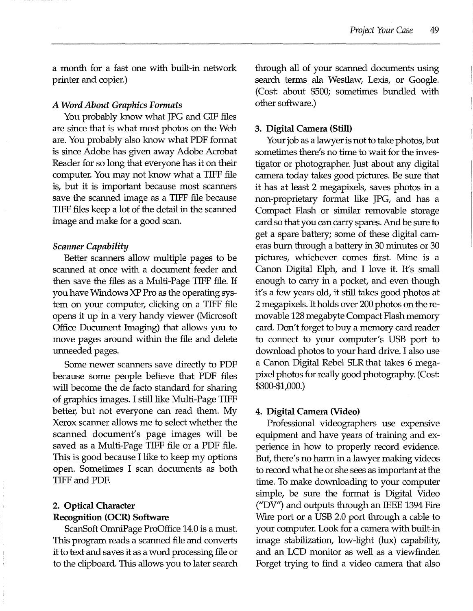a month for a fast one with built-in network printer and copier.)

#### *A Word About Graphics Formats*

You probably know what JPG and GIF files are since that is what most photos on the Web are. You probably also know what PDF format is since Adobe has given away Adobe Acrobat Reader for so long that everyone has it on their computer. You may not know what a TIFF file is, but it is important because most scanners save the scanned image as a TIFF file because TIFF files keep a lot of the detail in the scanned image and make for a good scan.

#### *Scanner Capability*

Better scanners allow multiple pages to be scanned at once with a document feeder and then save the files as a Multi-Page TIFF file. If you have Windows XP Pro as the operating system on your computer, clicking on a TIFF file opens it up in a very handy viewer (Microsoft Office Document Imaging) that allows you to move pages around within the file and delete unneeded pages.

Some newer scanners save directly to PDF because some people believe that PDF files will become the de facto standard for sharing of graphics images. I still like Multi-Page TIFF better, but not everyone can read them. My Xerox scanner allows me to select whether the scanned document's page images will be saved as a Multi-Page TIFF file or a PDF file. This is good because I like to keep my options open. Sometimes I scan documents as both TIFF and PDF.

## **2. Optical Character**

## **Recognition (OCR) Software**

ScanSoft OmniPage ProOffice 14.0 is a must. This program reads a scanned file and converts it to text and saves it as a word processing file or to the clipboard. This allows you to later search through all of your scanned documents using search terms ala Westlaw, Lexis, or Google. (Cost: about \$500; sometimes bundled with other software.)

#### **3. Digital Camera (Still)**

Your job as a lawyer is not to take photos, but sometimes there's no time to wait for the investigator or photographer. Just about any digital camera today takes good pictures. Be sure that it has at least 2 megapixels, saves photos in a non-proprietary format like JPG, and has a Compact Flash or similar removable storage card so that you can carry spares. And be sure to get a spare battery; some of these digital cameras burn through a battery in 30 minutes or 30 pictures, whichever comes first. Mine is a Canon Digital Elph, and I love it. It's small enough to carry in a pocket, and even though it's a few years old, it still takes good photos at 2 megapixels. It holds over 200 photos on the removable 128 megabyte Compact Flash memory card. Don't forget to buy a memory card reader to connect to your computer's USB port to download photos to your hard drive. I also use a Canon Digital Rebel SLR that takes 6 megapixel photos for really good photography. (Cost: \$300-\$1,000.)

#### **4. Digital Camera (Video)**

Professional videographers use expensive equipment and have years of training and experience in how to properly record evidence. But, there's no harm in a lawyer making videos to record what he or she sees as important at the time. To make downloading to your computer simple, be sure the format is Digital Video ("DV") and outputs through an IEEE 1394 Fire Wire port or a USB 2.0 port through a cable to your computer. Look for a camera with built-in image stabilization, low-light (lux) capability, and an LCD monitor as well as a viewfinder. Forget trying to find a video camera that also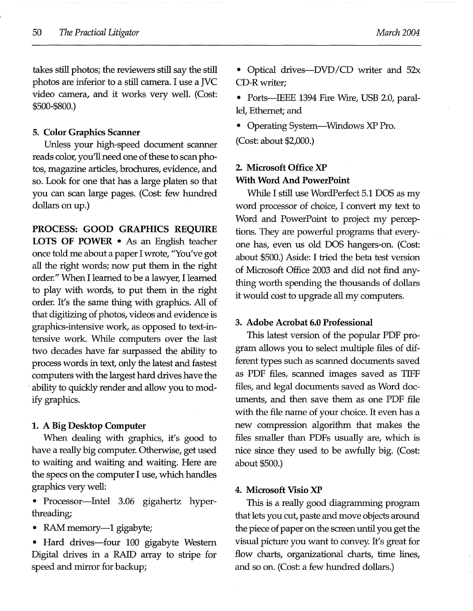takes still photos; the reviewers still say the still photos are inferior to a still camera. I use a JVC video camera, and it works very well. (Cost: \$500-\$800.)

#### **5. Color Graphics Scanner**

Unless your high-speed document scanner reads color, you'll need one of these to scan photos, magazine articles, brochures, evidence, and so. Look for one that has a large platen so that you can scan large pages. (Cost: few hundred dollars on up.)

**PROCESS: GOOD GRAPHICS REQUIRE LOTS OF POWER** • As an English teacher once told me about a paper I wrote, "You've got all the right words; now put them in the right order." When I learned to be a lawyer, I learned to play with words, to put them in the right order. It's the same thing with graphics. All of that digitizing of photos, videos and evidence is graphics-intensive work, as opposed to text-intensive work While computers over the last two decades have far surpassed the ability to process words in text, only the latest and fastest computers with the largest hard drives have the • ability to quickly render and allow you to modify graphics.

#### **1. A Big Desktop Computer**

When dealing with graphics, it's good to have a really big computer. Otherwise, get used to waiting and waiting and waiting. Here are the specs on the computer I use, which handles graphics very well:

• Processor-Intel 3.06 gigahertz hyperthreading;

• RAM memory-1 gigabyte;

• Hard drives-four 100 gigabyte Western Digital drives in a RAID array to stripe for speed and mirror for backup;

• Ports---IEEE 1394 Fire Wire, USB 2.0, parallel, Ethernet; and

• Operating System—Windows XP Pro.

(Cost: about \$2,000.)

# **2. Microsoft Office XP With Word And PowerPoint**

While I still use WordPerfect 5.1 DOS as my word processor of choice, I convert my text to Word and PowerPoint to project my perceptions. They are powerful programs that everyone has, even us old DOS hangers-on. (Cost: about \$500.) Aside: I tried the beta test version of Microsoft Office 2003 and did not find anything worth spending the thousands of dollars it would cost to upgrade all my computers.

#### **3. Adobe Acrobat 6.0 Professional**

This latest version of the popular PDF program allows you to select multiple files of different types such as scanned documents saved as PDF files, scanned images saved as TIFF files, and legal documents saved as Word documents, and then save them as one PDF file with the file name of your choice. It even has a new compression algorithm that makes the files smaller than PDFs usually are, which is nice since they used to be awfully big. (Cost: about \$500.)

#### **4. Microsoft Visio XP**

This is a really good diagramming program that lets you cut, paste and move objects around the piece of paper on the screen until you get the visual picture you want to convey. It's great for flow charts, organizational charts, time lines, and so on. (Cost: a few hundred dollars.)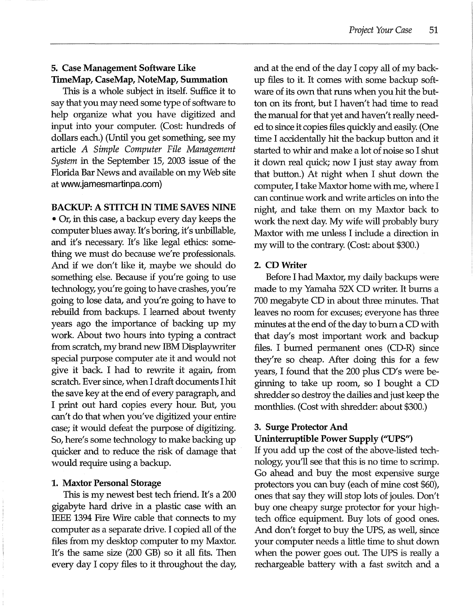# **5. Case Management Software Like TimeMap, CaseMap, NoteMap, Summation**

This is a whole subject in itself. Suffice it to say that you may need some type of software to help organize what you have digitized and input into your computer. (Cost: hundreds of dollars each.) (Until you get something, see my article *A Simple Computer File Management System* in the September 15, 2003 issue of the Florida Bar News and available on my Web site at www.jamesmartinpa.com)

## **BACKUP: A STITCH IN TIME SAVES NINE**

• Or, in this case, a backup every day keeps the computer blues away. It's boring, it's unbillable, and it's necessary. It's like legal ethics: something we must do because we're professionals. And if we don't like it, maybe we should do something else. Because if you're going to use technology, you're going to have crashes, you're going to lose data, and you're going to have to rebuild from backups. I learned about twenty years ago the importance of backing up my work About two hours into typing a contract from scratch, my brand new IBM Displaywriter special purpose computer ate it and would not give it back. I had to rewrite it again, from scratch. Ever since, when I draft documents I hit the save key at the end of every paragraph, and I print out hard copies every hour. But, you can't do that when you've digitized your entire case; it would defeat the purpose of digitizing. So, here's some technology to make backing up quicker and to reduce the risk of damage that would require using a backup.

## **1. Maxtor Personal Storage**

This is my newest best tech friend. It's a 200 gigabyte hard drive in a plastic case with an IEEE 1394 Fire Wire cable that connects to my computer as a separate drive. I copied all of the files from my desktop computer to my Maxtor. It's the same size (200 GB) so it all fits. Then every day I copy files to it throughout the day,

and at the end of the day I copy all of my backup files to it. It comes with some backup software of its own that runs when you hit the button on its front, but I haven't had time to read the manual for that yet and haven't really needed to since it copies files quickly and easily. (One time I accidentally hit the backup button and it started to whir and make a lot of noise so I shut it down real quick; now I just stay away from that button.) At night when I shut down the computer, I take Maxtor home with me, where I can continue work and write articles on into the night, and take them on my Maxtor back to work the next day. My wife will probably bury Maxtor with me unless I include a direction in my will to the contrary. (Cost: about \$300.)

# **2. CDWriter**

Before I had Maxtor, my daily backups were made to my Yamaha 52X CD writer. It burns a 700 megabyte CD in about three minutes. That leaves no room for excuses; everyone has three minutes at the end of the day to burn a CD with that day's most important work and backup files. I burned permanent ones (CD-R) since they're so cheap. After doing this for a few years, I found that the 200 plus CD's were beginning to take up room, so I bought a CD shredder so destroy the dailies and just keep the monthlies. (Cost with shredder: about \$300.)

## **3. Surge Protector And**

# **Uninterruptible Power Supply ("UPS")**

If you add up the cost of the above-listed technology, you'll see that this is no time to scrimp. Go ahead and buy the most expensive surge protectors you can buy (each of mine cost \$60), ones that say they will stop lots of joules. Don't buy one cheapy surge protector for your hightech office equipment. Buy lots of good ones. And don't forget to buy the UPS, as well, since your computer needs a little time to shut down when the power goes out. The UPS is really a rechargeable battery with a fast switch and a